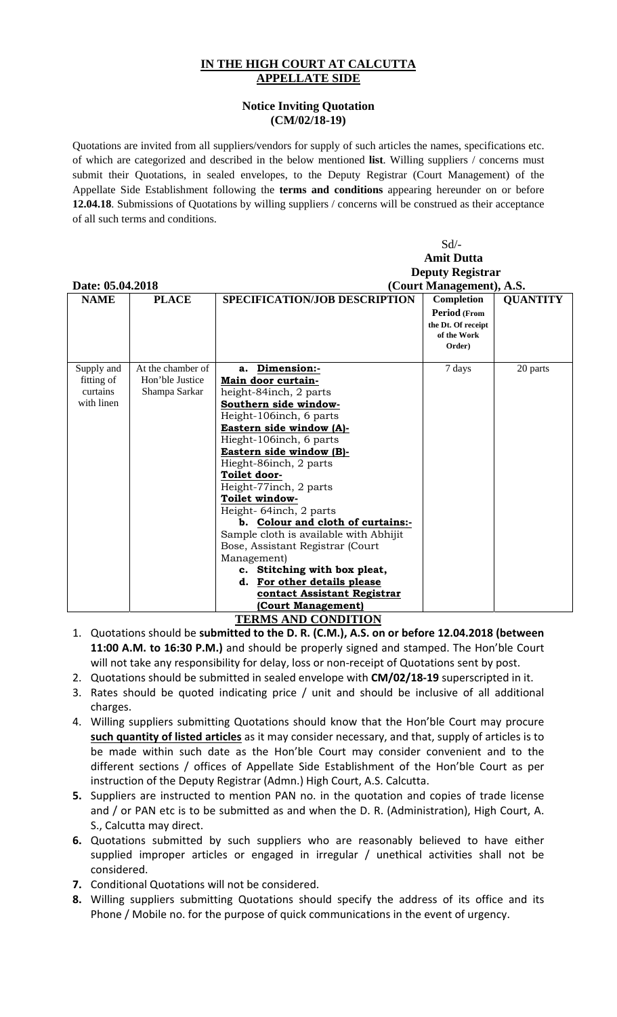## **IN THE HIGH COURT AT CALCUTTA APPELLATE SIDE**

## **Notice Inviting Quotation (CM/02/18-19)**

Quotations are invited from all suppliers/vendors for supply of such articles the names, specifications etc. of which are categorized and described in the below mentioned **list**. Willing suppliers / concerns must submit their Quotations, in sealed envelopes, to the Deputy Registrar (Court Management) of the Appellate Side Establishment following the **terms and conditions** appearing hereunder on or before **12.04.18**. Submissions of Quotations by willing suppliers / concerns will be construed as their acceptance of all such terms and conditions.

|                            |                   | $Sd$ /-                                             |                               |          |  |
|----------------------------|-------------------|-----------------------------------------------------|-------------------------------|----------|--|
|                            |                   |                                                     | <b>Amit Dutta</b>             |          |  |
|                            |                   | <b>Deputy Registrar</b>                             |                               |          |  |
| Date: 05.04.2018           |                   |                                                     | (Court Management), A.S.      |          |  |
| <b>NAME</b>                | <b>PLACE</b>      | SPECIFICATION/JOB DESCRIPTION                       | Completion<br><b>QUANTITY</b> |          |  |
|                            |                   |                                                     | Period (From                  |          |  |
|                            |                   |                                                     | the Dt. Of receipt            |          |  |
|                            |                   |                                                     | of the Work                   |          |  |
|                            |                   |                                                     | Order)                        |          |  |
|                            |                   |                                                     |                               |          |  |
| Supply and                 | At the chamber of | Dimension:-<br>a.                                   | 7 days                        | 20 parts |  |
| fitting of<br>curtains     | Hon'ble Justice   | Main door curtain-                                  |                               |          |  |
| with linen                 | Shampa Sarkar     | height-84inch, 2 parts                              |                               |          |  |
|                            |                   | Southern side window-                               |                               |          |  |
|                            |                   | Height-106inch, 6 parts<br>Eastern side window (A)- |                               |          |  |
|                            |                   | Hieght-106 inch, 6 parts                            |                               |          |  |
|                            |                   |                                                     |                               |          |  |
|                            |                   | Eastern side window (B)-<br>Hieght-86inch, 2 parts  |                               |          |  |
|                            |                   | Toilet door-                                        |                               |          |  |
|                            |                   | Height-77inch, 2 parts                              |                               |          |  |
|                            |                   | Toilet window-                                      |                               |          |  |
|                            |                   | Height-64inch, 2 parts                              |                               |          |  |
|                            |                   | b. Colour and cloth of curtains:-                   |                               |          |  |
|                            |                   | Sample cloth is available with Abhijit              |                               |          |  |
|                            |                   | Bose, Assistant Registrar (Court                    |                               |          |  |
|                            |                   | Management)                                         |                               |          |  |
|                            |                   | c. Stitching with box pleat,                        |                               |          |  |
|                            |                   | d. For other details please                         |                               |          |  |
|                            |                   | contact Assistant Registrar                         |                               |          |  |
|                            |                   | (Court Management)                                  |                               |          |  |
| <b>TERMS AND CONDITION</b> |                   |                                                     |                               |          |  |

- 1. Quotations should be **submitted to the D. R. (C.M.), A.S. on or before 12.04.2018 (between 11:00 A.M. to 16:30 P.M.)** and should be properly signed and stamped. The Hon'ble Court will not take any responsibility for delay, loss or non-receipt of Quotations sent by post.
- 2. Quotations should be submitted in sealed envelope with **CM/02/18‐19** superscripted in it.
- 3. Rates should be quoted indicating price / unit and should be inclusive of all additional charges.
- 4. Willing suppliers submitting Quotations should know that the Hon'ble Court may procure **such quantity of listed articles** as it may consider necessary, and that, supply of articles is to be made within such date as the Hon'ble Court may consider convenient and to the different sections / offices of Appellate Side Establishment of the Hon'ble Court as per instruction of the Deputy Registrar (Admn.) High Court, A.S. Calcutta.
- **5.** Suppliers are instructed to mention PAN no. in the quotation and copies of trade license and / or PAN etc is to be submitted as and when the D. R. (Administration), High Court, A. S., Calcutta may direct.
- **6.** Quotations submitted by such suppliers who are reasonably believed to have either supplied improper articles or engaged in irregular / unethical activities shall not be considered.
- **7.** Conditional Quotations will not be considered.
- **8.** Willing suppliers submitting Quotations should specify the address of its office and its Phone / Mobile no. for the purpose of quick communications in the event of urgency.